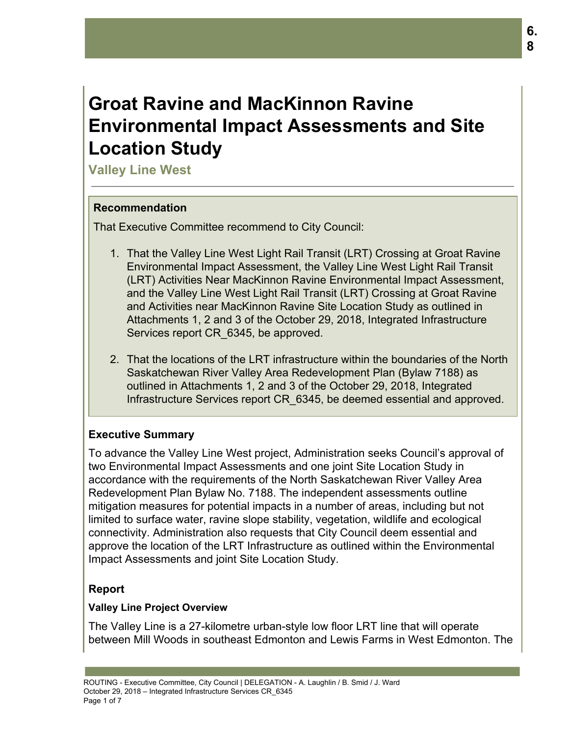# **Groat Ravine and MacKinnon Ravine Environmental Impact Assessments and Site Location Study**

**Valley Line West**

#### **Recommendation**

That Executive Committee recommend to City Council:

- 1. That the Valley Line West Light Rail Transit (LRT) Crossing at Groat Ravine Environmental Impact Assessment, the Valley Line West Light Rail Transit (LRT) Activities Near MacKinnon Ravine Environmental Impact Assessment, and the Valley Line West Light Rail Transit (LRT) Crossing at Groat Ravine and Activities near MacKinnon Ravine Site Location Study as outlined in Attachments 1, 2 and 3 of the October 29, 2018, Integrated Infrastructure Services report CR\_6345, be approved.
- 2. That the locations of the LRT infrastructure within the boundaries of the North Saskatchewan River Valley Area Redevelopment Plan (Bylaw 7188) as outlined in Attachments 1, 2 and 3 of the October 29, 2018, Integrated Infrastructure Services report CR\_6345, be deemed essential and approved.

# **Executive Summary**

To advance the Valley Line West project, Administration seeks Council's approval of two Environmental Impact Assessments and one joint Site Location Study in accordance with the requirements of the North Saskatchewan River Valley Area Redevelopment Plan Bylaw No. 7188. The independent assessments outline mitigation measures for potential impacts in a number of areas, including but not limited to surface water, ravine slope stability, vegetation, wildlife and ecological connectivity. Administration also requests that City Council deem essential and approve the location of the LRT Infrastructure as outlined within the Environmental Impact Assessments and joint Site Location Study.

## **Report**

## **Valley Line Project Overview**

The Valley Line is a 27-kilometre urban-style low floor LRT line that will operate between Mill Woods in southeast Edmonton and Lewis Farms in West Edmonton. The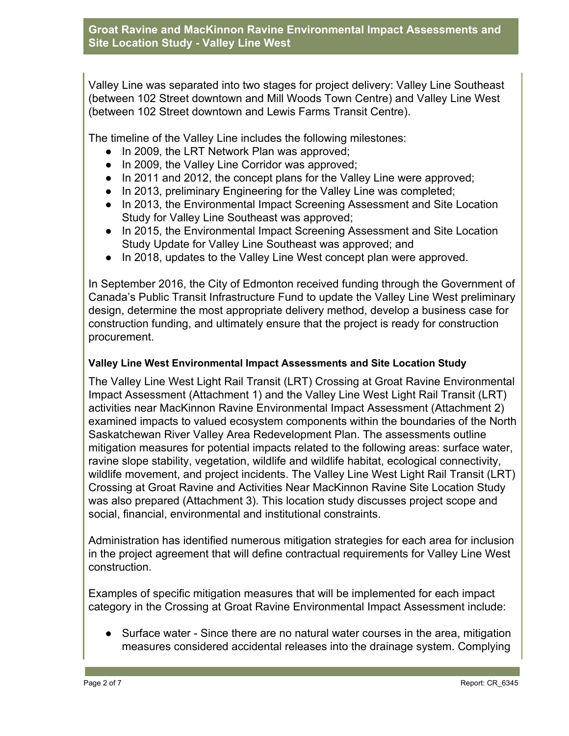Valley Line was separated into two stages for project delivery: Valley Line Southeast (between 102 Street downtown and Mill Woods Town Centre) and Valley Line West (between 102 Street downtown and Lewis Farms Transit Centre).

The timeline of the Valley Line includes the following milestones:

- In 2009, the LRT Network Plan was approved;
- In 2009, the Valley Line Corridor was approved;
- In 2011 and 2012, the concept plans for the Valley Line were approved;
- In 2013, preliminary Engineering for the Valley Line was completed;
- In 2013, the Environmental Impact Screening Assessment and Site Location Study for Valley Line Southeast was approved;
- In 2015, the Environmental Impact Screening Assessment and Site Location Study Update for Valley Line Southeast was approved; and
- In 2018, updates to the Valley Line West concept plan were approved.

In September 2016, the City of Edmonton received funding through the Government of Canada's Public Transit Infrastructure Fund to update the Valley Line West preliminary design, determine the most appropriate delivery method, develop a business case for construction funding, and ultimately ensure that the project is ready for construction procurement.

#### **Valley Line West Environmental Impact Assessments and Site Location Study**

The Valley Line West Light Rail Transit (LRT) Crossing at Groat Ravine Environmental Impact Assessment (Attachment 1) and the Valley Line West Light Rail Transit (LRT) activities near MacKinnon Ravine Environmental Impact Assessment (Attachment 2) examined impacts to valued ecosystem components within the boundaries of the North Saskatchewan River Valley Area Redevelopment Plan. The assessments outline mitigation measures for potential impacts related to the following areas: surface water, ravine slope stability, vegetation, wildlife and wildlife habitat, ecological connectivity, wildlife movement, and project incidents. The Valley Line West Light Rail Transit (LRT) Crossing at Groat Ravine and Activities Near MacKinnon Ravine Site Location Study was also prepared (Attachment 3). This location study discusses project scope and social, financial, environmental and institutional constraints.

Administration has identified numerous mitigation strategies for each area for inclusion in the project agreement that will define contractual requirements for Valley Line West construction.

Examples of specific mitigation measures that will be implemented for each impact category in the Crossing at Groat Ravine Environmental Impact Assessment include:

● Surface water - Since there are no natural water courses in the area, mitigation measures considered accidental releases into the drainage system. Complying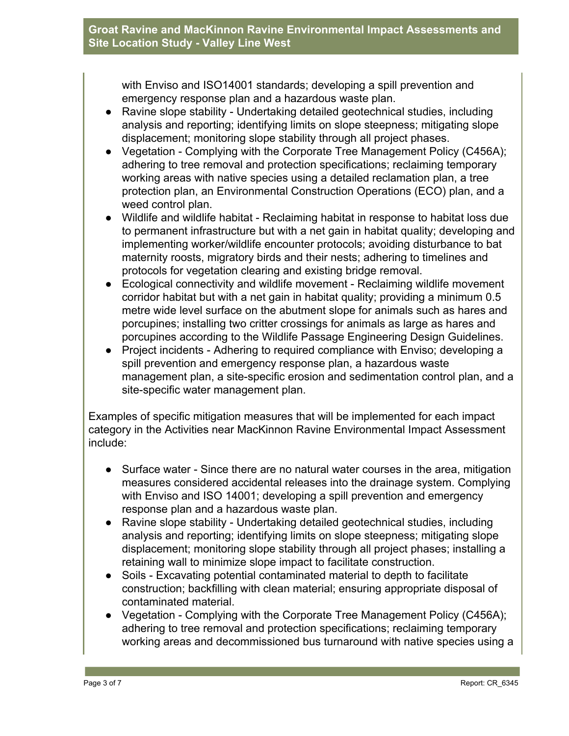#### **Groat Ravine and MacKinnon Ravine Environmental Impact Assessments and Site Location Study - Valley Line West**

with Enviso and ISO14001 standards; developing a spill prevention and emergency response plan and a hazardous waste plan.

- Ravine slope stability Undertaking detailed geotechnical studies, including analysis and reporting; identifying limits on slope steepness; mitigating slope displacement; monitoring slope stability through all project phases.
- Vegetation Complying with the Corporate Tree Management Policy (C456A); adhering to tree removal and protection specifications; reclaiming temporary working areas with native species using a detailed reclamation plan, a tree protection plan, an Environmental Construction Operations (ECO) plan, and a weed control plan.
- Wildlife and wildlife habitat Reclaiming habitat in response to habitat loss due to permanent infrastructure but with a net gain in habitat quality; developing and implementing worker/wildlife encounter protocols; avoiding disturbance to bat maternity roosts, migratory birds and their nests; adhering to timelines and protocols for vegetation clearing and existing bridge removal.
- Ecological connectivity and wildlife movement Reclaiming wildlife movement corridor habitat but with a net gain in habitat quality; providing a minimum 0.5 metre wide level surface on the abutment slope for animals such as hares and porcupines; installing two critter crossings for animals as large as hares and porcupines according to the Wildlife Passage Engineering Design Guidelines.
- Project incidents Adhering to required compliance with Enviso; developing a spill prevention and emergency response plan, a hazardous waste management plan, a site-specific erosion and sedimentation control plan, and a site-specific water management plan.

Examples of specific mitigation measures that will be implemented for each impact category in the Activities near MacKinnon Ravine Environmental Impact Assessment include:

- Surface water Since there are no natural water courses in the area, mitigation measures considered accidental releases into the drainage system. Complying with Enviso and ISO 14001; developing a spill prevention and emergency response plan and a hazardous waste plan.
- Ravine slope stability Undertaking detailed geotechnical studies, including analysis and reporting; identifying limits on slope steepness; mitigating slope displacement; monitoring slope stability through all project phases; installing a retaining wall to minimize slope impact to facilitate construction.
- Soils Excavating potential contaminated material to depth to facilitate construction; backfilling with clean material; ensuring appropriate disposal of contaminated material.
- Vegetation Complying with the Corporate Tree Management Policy (C456A); adhering to tree removal and protection specifications; reclaiming temporary working areas and decommissioned bus turnaround with native species using a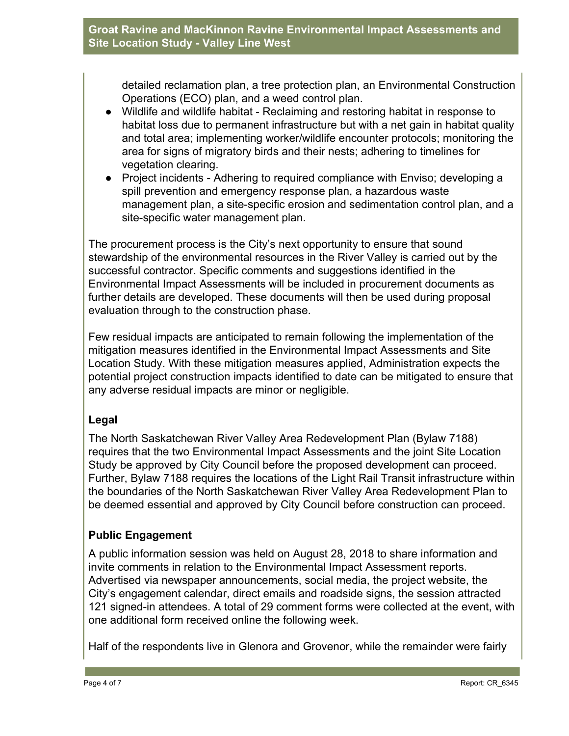#### **Groat Ravine and MacKinnon Ravine Environmental Impact Assessments and Site Location Study - Valley Line West**

detailed reclamation plan, a tree protection plan, an Environmental Construction Operations (ECO) plan, and a weed control plan.

- Wildlife and wildlife habitat Reclaiming and restoring habitat in response to habitat loss due to permanent infrastructure but with a net gain in habitat quality and total area; implementing worker/wildlife encounter protocols; monitoring the area for signs of migratory birds and their nests; adhering to timelines for vegetation clearing.
- Project incidents Adhering to required compliance with Enviso; developing a spill prevention and emergency response plan, a hazardous waste management plan, a site-specific erosion and sedimentation control plan, and a site-specific water management plan.

The procurement process is the City's next opportunity to ensure that sound stewardship of the environmental resources in the River Valley is carried out by the successful contractor. Specific comments and suggestions identified in the Environmental Impact Assessments will be included in procurement documents as further details are developed. These documents will then be used during proposal evaluation through to the construction phase.

Few residual impacts are anticipated to remain following the implementation of the mitigation measures identified in the Environmental Impact Assessments and Site Location Study. With these mitigation measures applied, Administration expects the potential project construction impacts identified to date can be mitigated to ensure that any adverse residual impacts are minor or negligible.

## **Legal**

The North Saskatchewan River Valley Area Redevelopment Plan (Bylaw 7188) requires that the two Environmental Impact Assessments and the joint Site Location Study be approved by City Council before the proposed development can proceed. Further, Bylaw 7188 requires the locations of the Light Rail Transit infrastructure within the boundaries of the North Saskatchewan River Valley Area Redevelopment Plan to be deemed essential and approved by City Council before construction can proceed.

# **Public Engagement**

A public information session was held on August 28, 2018 to share information and invite comments in relation to the Environmental Impact Assessment reports. Advertised via newspaper announcements, social media, the project website, the City's engagement calendar, direct emails and roadside signs, the session attracted 121 signed-in attendees. A total of 29 comment forms were collected at the event, with one additional form received online the following week.

Half of the respondents live in Glenora and Grovenor, while the remainder were fairly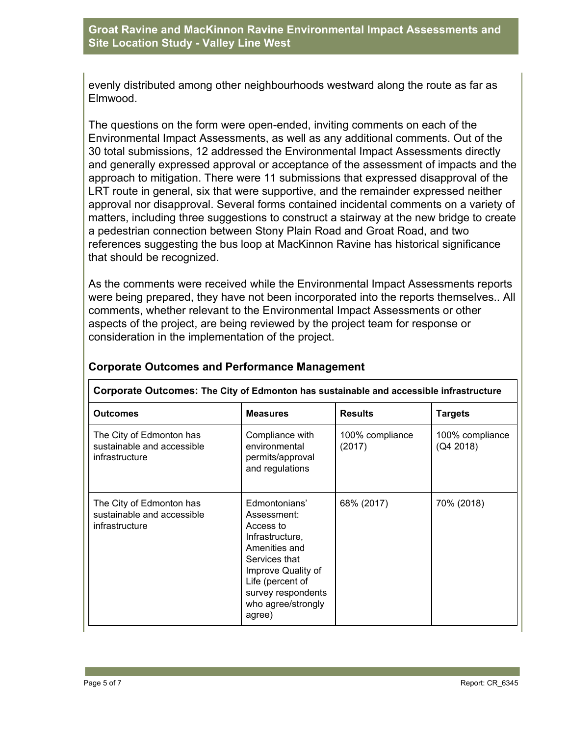evenly distributed among other neighbourhoods westward along the route as far as Elmwood.

The questions on the form were open-ended, inviting comments on each of the Environmental Impact Assessments, as well as any additional comments. Out of the 30 total submissions, 12 addressed the Environmental Impact Assessments directly and generally expressed approval or acceptance of the assessment of impacts and the approach to mitigation. There were 11 submissions that expressed disapproval of the LRT route in general, six that were supportive, and the remainder expressed neither approval nor disapproval. Several forms contained incidental comments on a variety of matters, including three suggestions to construct a stairway at the new bridge to create a pedestrian connection between Stony Plain Road and Groat Road, and two references suggesting the bus loop at MacKinnon Ravine has historical significance that should be recognized.

As the comments were received while the Environmental Impact Assessments reports were being prepared, they have not been incorporated into the reports themselves.. All comments, whether relevant to the Environmental Impact Assessments or other aspects of the project, are being reviewed by the project team for response or consideration in the implementation of the project.

| Corporate Outcomes: The City of Edmonton has sustainable and accessible infrastructure |                                                                                                                                                                                                |                           |                              |  |  |  |
|----------------------------------------------------------------------------------------|------------------------------------------------------------------------------------------------------------------------------------------------------------------------------------------------|---------------------------|------------------------------|--|--|--|
| <b>Outcomes</b>                                                                        | <b>Measures</b>                                                                                                                                                                                | <b>Results</b>            | <b>Targets</b>               |  |  |  |
| The City of Edmonton has<br>sustainable and accessible<br>infrastructure               | Compliance with<br>environmental<br>permits/approval<br>and regulations                                                                                                                        | 100% compliance<br>(2017) | 100% compliance<br>(Q4 2018) |  |  |  |
| The City of Edmonton has<br>sustainable and accessible<br>infrastructure               | Edmontonians'<br>Assessment:<br>Access to<br>Infrastructure,<br>Amenities and<br>Services that<br>Improve Quality of<br>Life (percent of<br>survey respondents<br>who agree/strongly<br>agree) | 68% (2017)                | 70% (2018)                   |  |  |  |

## **Corporate Outcomes and Performance Management**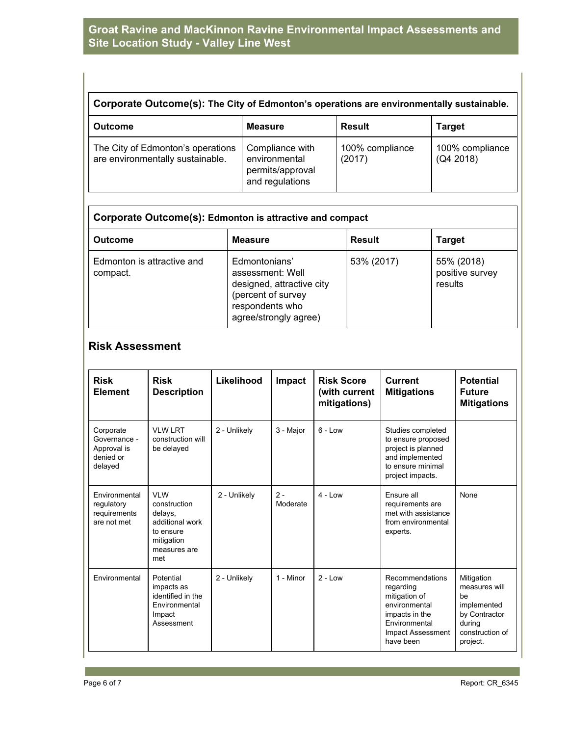#### **Groat Ravine and MacKinnon Ravine Environmental Impact Assessments and Site Location Study - Valley Line West**

| Corporate Outcome(s): The City of Edmonton's operations are environmentally sustainable. |                                                                         |                           |                              |  |  |
|------------------------------------------------------------------------------------------|-------------------------------------------------------------------------|---------------------------|------------------------------|--|--|
| <b>Outcome</b>                                                                           | <b>Measure</b>                                                          | <b>Result</b>             | <b>Target</b>                |  |  |
| The City of Edmonton's operations<br>are environmentally sustainable.                    | Compliance with<br>environmental<br>permits/approval<br>and regulations | 100% compliance<br>(2017) | 100% compliance<br>(Q4 2018) |  |  |

| Corporate Outcome(s): Edmonton is attractive and compact |                                                                                                                                  |               |                                          |  |  |
|----------------------------------------------------------|----------------------------------------------------------------------------------------------------------------------------------|---------------|------------------------------------------|--|--|
| <b>Outcome</b>                                           | <b>Measure</b>                                                                                                                   | <b>Result</b> | <b>Target</b>                            |  |  |
| Edmonton is attractive and<br>compact.                   | Edmontonians'<br>assessment: Well<br>designed, attractive city<br>(percent of survey<br>respondents who<br>agree/strongly agree) | 53% (2017)    | 55% (2018)<br>positive survey<br>results |  |  |

# **Risk Assessment**

| <b>Risk</b><br><b>Element</b>                                    | <b>Risk</b><br><b>Description</b>                                                                          | Likelihood   | Impact            | <b>Risk Score</b><br>(with current<br>mitigations) | <b>Current</b><br><b>Mitigations</b>                                                                                                | <b>Potential</b><br><b>Future</b><br><b>Mitigations</b>                                                     |
|------------------------------------------------------------------|------------------------------------------------------------------------------------------------------------|--------------|-------------------|----------------------------------------------------|-------------------------------------------------------------------------------------------------------------------------------------|-------------------------------------------------------------------------------------------------------------|
| Corporate<br>Governance -<br>Approval is<br>denied or<br>delayed | <b>VLW LRT</b><br>construction will<br>be delayed                                                          | 2 - Unlikely | 3 - Major         | $6 - Low$                                          | Studies completed<br>to ensure proposed<br>project is planned<br>and implemented<br>to ensure minimal<br>project impacts.           |                                                                                                             |
| Environmental<br>regulatory<br>requirements<br>are not met       | <b>VLW</b><br>construction<br>delays,<br>additional work<br>to ensure<br>mitigation<br>measures are<br>met | 2 - Unlikely | $2 -$<br>Moderate | $4 - Low$                                          | Ensure all<br>requirements are<br>met with assistance<br>from environmental<br>experts.                                             | None                                                                                                        |
| Environmental                                                    | Potential<br>impacts as<br>identified in the<br>Environmental<br>Impact<br>Assessment                      | 2 - Unlikelv | 1 - Minor         | $2 - 1$ $\alpha w$                                 | Recommendations<br>regarding<br>mitigation of<br>environmental<br>impacts in the<br>Environmental<br>Impact Assessment<br>have been | Mitigation<br>measures will<br>he.<br>implemented<br>by Contractor<br>during<br>construction of<br>project. |